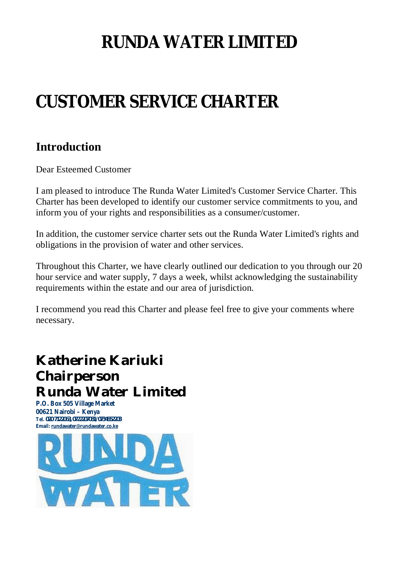# **RUNDA WATER LIMITED**

# **CUSTOMER SERVICE CHARTER**

## **Introduction**

Dear Esteemed Customer

I am pleased to introduce The Runda Water Limited's Customer Service Charter. This Charter has been developed to identify our customer service commitments to you, and inform you of your rights and responsibilities as a consumer/customer.

In addition, the customer service charter sets out the Runda Water Limited's rights and obligations in the provision of water and other services.

Throughout this Charter, we have clearly outlined our dedication to you through our 20 hour service and water supply, 7 days a week, whilst acknowledging the sustainability requirements within the estate and our area of jurisdiction.

I recommend you read this Charter and please feel free to give your comments where necessary.

# **Katherine Kariuki Chairperson Runda Water Limited**

**P.O. Box 505 Village Market 00621 Nairobi – Kenya Tel. 020 7122063, 0722207081/0734652203 Email: [rundawater@rundawater.co.ke](mailto:rundawater@rundawater.co.ke)**

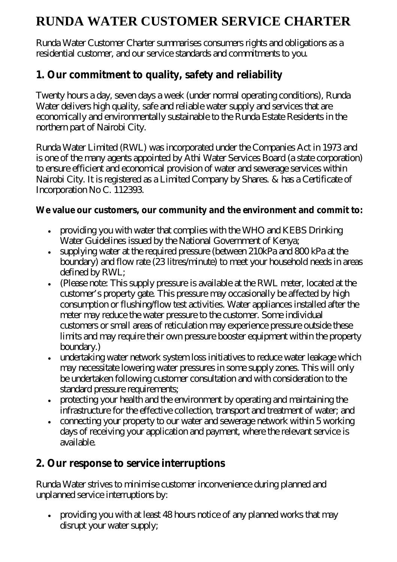# **RUNDA WATER CUSTOMER SERVICE CHARTER**

Runda Water Customer Charter summarises consumers rights and obligations as a residential customer, and our service standards and commitments to you.

#### **1. Our commitment to quality, safety and reliability**

Twenty hours a day, seven days a week (under normal operating conditions), Runda Water delivers high quality, safe and reliable water supply and services that are economically and environmentally sustainable to the Runda Estate Residents in the northern part of Nairobi City.

Runda Water Limited (RWL) was incorporated under the Companies Act in 1973 and is one of the many agents appointed by Athi Water Services Board (a state corporation) to ensure efficient and economical provision of water and sewerage services within Nairobi City. It is registered as a Limited Company by Shares. & has a Certificate of Incorporation No C. 112393.

#### **We value our customers, our community and the environment and commit to:**

- providing you with water that complies with the WHO and KEBS Drinking Water Guidelines issued by the National Government of Kenya;
- supplying water at the required pressure (between 210kPa and 800 kPa at the boundary) and flow rate (23 litres/minute) to meet your household needs in areas defined by RWL;
- (Please note: This supply pressure is available at the RWL meter, located at the customer's property gate. This pressure may occasionally be affected by high consumption or flushing/flow test activities. Water appliances installed after the meter may reduce the water pressure to the customer. Some individual customers or small areas of reticulation may experience pressure outside these limits and may require their own pressure booster equipment within the property boundary.)
- undertaking water network system loss initiatives to reduce water leakage which may necessitate lowering water pressures in some supply zones. This will only be undertaken following customer consultation and with consideration to the standard pressure requirements;
- protecting your health and the environment by operating and maintaining the infrastructure for the effective collection, transport and treatment of water; and
- connecting your property to our water and sewerage network within 5 working days of receiving your application and payment, where the relevant service is available.

#### **2. Our response to service interruptions**

Runda Water strives to minimise customer inconvenience during planned and unplanned service interruptions by:

 providing you with at least 48 hours notice of any planned works that may disrupt your water supply;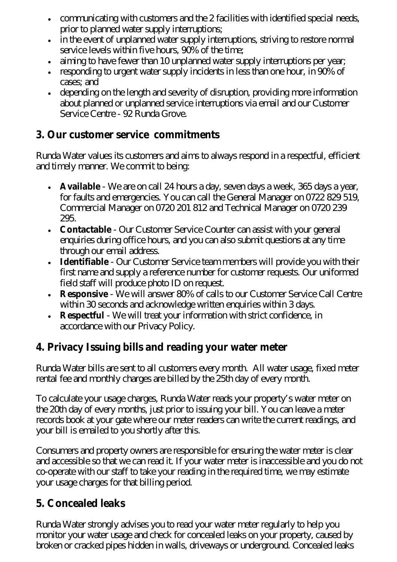- communicating with customers and the 2 facilities with identified special needs, prior to planned water supply interruptions;
- in the event of unplanned water supply interruptions, striving to restore normal service levels within five hours, 90% of the time;
- aiming to have fewer than 10 unplanned water supply interruptions per year;
- responding to urgent water supply incidents in less than one hour, in 90% of cases; and
- depending on the length and severity of disruption, providing more information about planned or unplanned service interruptions via email and our Customer Service Centre - 92 Runda Grove.

#### **3. Our customer service commitments**

Runda Water values its customers and aims to always respond in a respectful, efficient and timely manner. We commit to being:

- **Available** We are on call 24 hours a day, seven days a week, 365 days a year, for faults and emergencies. You can call the General Manager on 0722 829 519, Commercial Manager on 0720 201 812 and Technical Manager on 0720 239 295.
- **Contactable** Our Customer Service Counter can assist with your general enquiries during office hours, and you can also submit questions at any time through our email address.
- **Identifiable** Our Customer Service team members will provide you with their first name and supply a reference number for customer requests. Our uniformed field staff will produce photo ID on request.
- **Responsive** We will answer 80% of calls to our Customer Service Call Centre within 30 seconds and acknowledge written enquiries within 3 days.
- **Respectful** We will treat your information with strict confidence, in accordance with our Privacy Policy.

#### **4. Privacy Issuing bills and reading your water meter**

Runda Water bills are sent to all customers every month. All water usage, fixed meter rental fee and monthly charges are billed by the 25th day of every month.

To calculate your usage charges, Runda Water reads your property's water meter on the 20th day of every months, just prior to issuing your bill. You can leave a meter records book at your gate where our meter readers can write the current readings, and your bill is emailed to you shortly after this.

Consumers and property owners are responsible for ensuring the water meter is clear and accessible so that we can read it. If your water meter is inaccessible and you do not co-operate with our staff to take your reading in the required time, we may estimate your usage charges for that billing period.

#### **5. Concealed leaks**

Runda Water strongly advises you to read your water meter regularly to help you monitor your water usage and check for concealed leaks on your property, caused by broken or cracked pipes hidden in walls, driveways or underground. Concealed leaks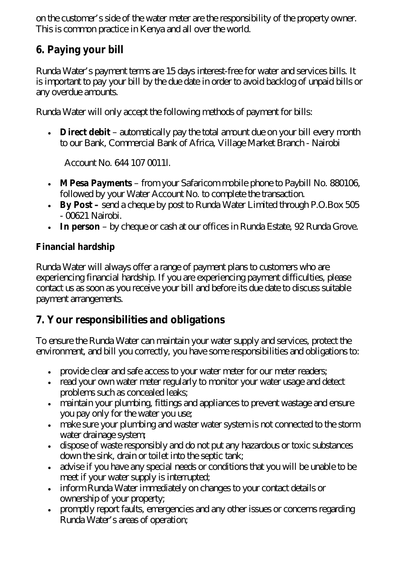on the customer's side of the water meter are the responsibility of the property owner. This is common practice in Kenya and all over the world.

## **6. Paying your bill**

Runda Water's payment terms are 15 days interest-free for water and services bills. It is important to pay your bill by the due date in order to avoid backlog of unpaid bills or any overdue amounts.

Runda Water will only accept the following methods of payment for bills:

 **Direct debit** – automatically pay the total amount due on your bill every month to our Bank, Commercial Bank of Africa, Village Market Branch - Nairobi

Account No. 644 107 0011l.

- **MPesa Payments** from your Safaricom mobile phone to Paybill No. 880106, followed by your Water Account No. to complete the transaction.
- **By Post –** send a cheque by post to Runda Water Limited through P.O.Box 505 - 00621 Nairobi.
- **In person** by cheque or cash at our offices in Runda Estate, 92 Runda Grove.

#### **Financial hardship**

Runda Water will always offer a range of payment plans to customers who are experiencing financial hardship. If you are experiencing payment difficulties, please contact us as soon as you receive your bill and before its due date to discuss suitable payment arrangements.

## **7. Your responsibilities and obligations**

To ensure the Runda Water can maintain your water supply and services, protect the environment, and bill you correctly, you have some responsibilities and obligations to:

- provide clear and safe access to your water meter for our meter readers;
- read your own water meter regularly to monitor your water usage and detect problems such as concealed leaks;
- maintain your plumbing, fittings and appliances to prevent wastage and ensure you pay only for the water you use;
- make sure your plumbing and waster water system is not connected to the storm water drainage system;
- dispose of waste responsibly and do not put any hazardous or toxic substances down the sink, drain or toilet into the septic tank;
- advise if you have any special needs or conditions that you will be unable to be meet if your water supply is interrupted;
- inform Runda Water immediately on changes to your contact details or ownership of your property;
- promptly report faults, emergencies and any other issues or concerns regarding Runda Water's areas of operation;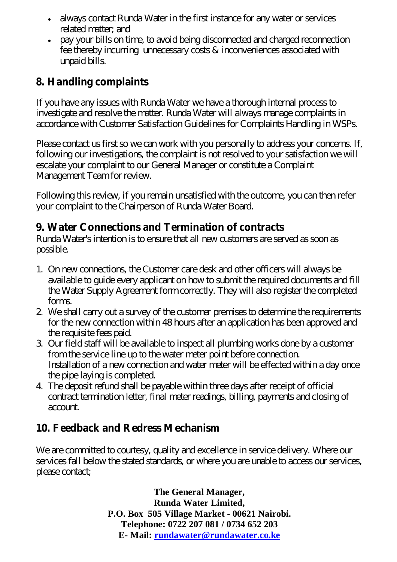- always contact Runda Water in the first instance for any water or services related matter; and
- pay your bills on time, to avoid being disconnected and charged reconnection fee thereby incurring unnecessary costs & inconveniences associated with unpaid bills.

## **8. Handling complaints**

If you have any issues with Runda Water we have a thorough internal process to investigate and resolve the matter. Runda Water will always manage complaints in accordance with Customer Satisfaction Guidelines for Complaints Handling in WSPs.

Please contact us first so we can work with you personally to address your concerns. If, following our investigations, the complaint is not resolved to your satisfaction we will escalate your complaint to our General Manager or constitute a Complaint Management Team for review.

Following this review, if you remain unsatisfied with the outcome, you can then refer your complaint to the Chairperson of Runda Water Board.

## **9. Water Connections and Termination of contracts**

Runda Water's intention is to ensure that all new customers are served as soon as possible.

- 1. On new connections, the Customer care desk and other officers will always be available to guide every applicant on how to submit the required documents and fill the Water Supply Agreement form correctly. They will also register the completed forms.
- 2. We shall carry out a survey of the customer premises to determine the requirements for the new connection within 48 hours after an application has been approved and the requisite fees paid.
- 3. Our field staff will be available to inspect all plumbing works done by a customer from the service line up to the water meter point before connection. Installation of a new connection and water meter will be effected within a day once the pipe laying is completed.
- 4. The deposit refund shall be payable within three days after receipt of official contract termination letter, final meter readings, billing, payments and closing of account.

## **10. Feedback and Redress Mechanism**

We are committed to courtesy, quality and excellence in service delivery. Where our services fall below the stated standards, or where you are unable to access our services, please contact;

> **The General Manager, Runda Water Limited, P.O. Box 505 Village Market - 00621 Nairobi. Telephone: 0722 207 081 / 0734 652 203 E- Mail: [rundawater@rundawater.co.ke](mailto:rundawater@rundawater.co.ke)**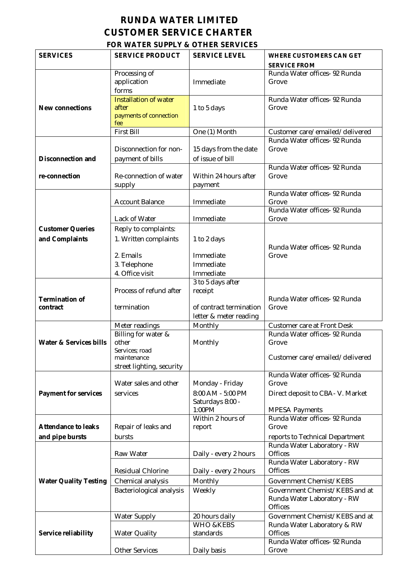#### **RUNDA WATER LIMITED CUSTOMER SERVICE CHARTER**

#### **FOR WATER SUPPLY & OTHER SERVICES**

| <b>SERVICES</b>                   | <b>SERVICE PRODUCT</b>                | <b>SERVICE LEVEL</b>        | <b>WHERE CUSTOMERS CAN GET</b>                               |
|-----------------------------------|---------------------------------------|-----------------------------|--------------------------------------------------------------|
|                                   |                                       |                             | <b>SERVICE FROM</b><br>Runda Water offices- 92 Runda         |
|                                   | Processing of<br>application          | Immediate                   | Grove                                                        |
|                                   | forms                                 |                             |                                                              |
|                                   | <b>Installation of water</b>          |                             | Runda Water offices- 92 Runda                                |
| <b>New connections</b>            | after                                 | 1 to 5 days                 | Grove                                                        |
|                                   | payments of connection<br>fee         |                             |                                                              |
|                                   | <b>First Bill</b>                     | One (1) Month               | Customer care/emailed/delivered                              |
|                                   |                                       |                             | Runda Water offices- 92 Runda                                |
|                                   | Disconnection for non-                | 15 days from the date       | Grove                                                        |
| <b>Disconnection and</b>          | payment of bills                      | of issue of bill            |                                                              |
|                                   |                                       |                             | Runda Water offices- 92 Runda                                |
| re-connection                     | Re-connection of water                | Within 24 hours after       | Grove                                                        |
|                                   | supply                                | payment                     | Runda Water offices- 92 Runda                                |
|                                   | <b>Account Balance</b>                | Immediate                   | Grove                                                        |
|                                   |                                       |                             | Runda Water offices- 92 Runda                                |
|                                   | Lack of Water                         | Immediate                   | Grove                                                        |
| <b>Customer Queries</b>           | Reply to complaints:                  |                             |                                                              |
| and Complaints                    | 1. Written complaints                 | 1 to 2 days                 |                                                              |
|                                   |                                       |                             | Runda Water offices- 92 Runda                                |
|                                   | 2. Emails                             | Immediate                   | Grove                                                        |
|                                   | 3. Telephone<br>4. Office visit       | Immediate<br>Immediate      |                                                              |
|                                   |                                       | 3 to 5 days after           |                                                              |
|                                   | Process of refund after               | receipt                     |                                                              |
| <b>Termination of</b>             |                                       |                             | Runda Water offices- 92 Runda                                |
| contract                          | termination                           | of contract termination     | Grove                                                        |
|                                   |                                       | letter & meter reading      |                                                              |
|                                   | Meter readings<br>Billing for water & | Monthly                     | Customer care at Front Desk<br>Runda Water offices- 92 Runda |
| <b>Water &amp; Services bills</b> | other                                 | Monthly                     | Grove                                                        |
|                                   | Services; road                        |                             |                                                              |
|                                   | maintenance                           |                             | Customer care/emailed/delivered                              |
|                                   | street lighting, security             |                             | Runda Water offices- 92 Runda                                |
|                                   | Water sales and other                 | Monday - Friday             | Grove                                                        |
| <b>Payment for services</b>       | services                              | 8:00 AM - 5:00 PM           | Direct deposit to CBA-V. Market                              |
|                                   |                                       | Saturdays 8:00 -            |                                                              |
|                                   |                                       | 1:00PM                      | <b>MPESA Payments</b>                                        |
| <b>Attendance to leaks</b>        | Repair of leaks and                   | Within 2 hours of<br>report | Runda Water offices- 92 Runda<br>Grove                       |
| and pipe bursts                   | bursts                                |                             | reports to Technical Department                              |
|                                   |                                       |                             | Runda Water Laboratory - RW                                  |
|                                   | Raw Water                             | Daily - every 2 hours       | <b>Offices</b>                                               |
|                                   |                                       |                             | Runda Water Laboratory - RW                                  |
|                                   | Residual Chlorine                     | Daily - every 2 hours       | <b>Offices</b>                                               |
| <b>Water Quality Testing</b>      | Chemical analysis                     | Monthly                     | Government Chemist/KEBS                                      |
|                                   | Bacteriological analysis              | Weekly                      | Government Chemist/KEBS and at                               |
|                                   |                                       |                             | Runda Water Laboratory - RW<br><b>Offices</b>                |
|                                   | <b>Water Supply</b>                   | 20 hours daily              | Government Chemist/KEBS and at                               |
|                                   |                                       | <b>WHO &amp;KEBS</b>        | Runda Water Laboratory & RW                                  |
| Service reliability               | <b>Water Quality</b>                  | standards                   | <b>Offices</b>                                               |
|                                   |                                       |                             | Runda Water offices- 92 Runda                                |
|                                   | <b>Other Services</b>                 | Daily basis                 | Grove                                                        |